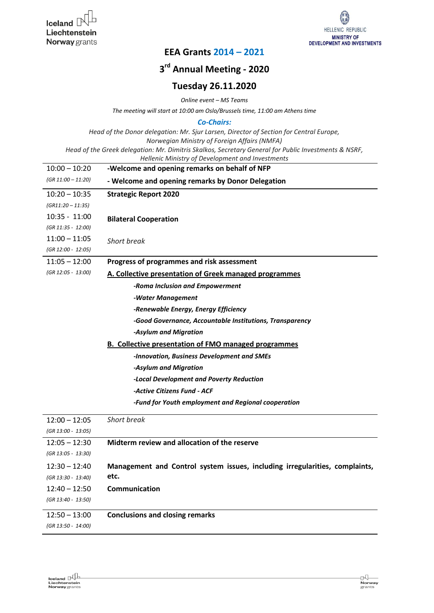

## **EEA Grants 2014 – 2021**

## **3 rd Annual Meeting - 2020**

## **Tuesday 26.11.2020**

*Online event – MS Teams*

*The meeting will start at 10:00 am Oslo/Brussels time, 11:00 am Athens time*

*Co-Chairs:*

*Head of the Donor delegation: Mr. Sjur Larsen, Director of Section for Central Europe, Norwegian Ministry of Foreign Affairs (NMFA)*

*Head of the Greek delegation: Mr. Dimitris Skalkos, Secretary General for Public Investments & NSRF, Hellenic Ministry of Development and Investments*

| $10:00 - 10:20$     | -Welcome and opening remarks on behalf of NFP                               |
|---------------------|-----------------------------------------------------------------------------|
| (GR 11:00 - 11:20)  | - Welcome and opening remarks by Donor Delegation                           |
| $10:20 - 10:35$     | <b>Strategic Report 2020</b>                                                |
| $(GR11:20 - 11:35)$ |                                                                             |
| $10:35 - 11:00$     | <b>Bilateral Cooperation</b>                                                |
| (GR 11:35 - 12:00)  |                                                                             |
| $11:00 - 11:05$     | <b>Short break</b>                                                          |
| (GR 12:00 - 12:05)  |                                                                             |
| $11:05 - 12:00$     | Progress of programmes and risk assessment                                  |
| (GR 12:05 - 13:00)  | A. Collective presentation of Greek managed programmes                      |
|                     | -Roma Inclusion and Empowerment                                             |
|                     | -Water Management                                                           |
|                     | -Renewable Energy, Energy Efficiency                                        |
|                     | -Good Governance, Accountable Institutions, Transparency                    |
|                     | -Asylum and Migration                                                       |
|                     | <b>B. Collective presentation of FMO managed programmes</b>                 |
|                     | -Innovation, Business Development and SMEs                                  |
|                     | -Asylum and Migration                                                       |
|                     | -Local Development and Poverty Reduction                                    |
|                     | -Active Citizens Fund - ACF                                                 |
|                     | -Fund for Youth employment and Regional cooperation                         |
| $12:00 - 12:05$     | <b>Short break</b>                                                          |
| (GR 13:00 - 13:05)  |                                                                             |
| $12:05 - 12:30$     | Midterm review and allocation of the reserve                                |
| (GR 13:05 - 13:30)  |                                                                             |
| $12:30 - 12:40$     | Management and Control system issues, including irregularities, complaints, |
| (GR 13:30 - 13:40)  | etc.                                                                        |
| $12:40 - 12:50$     | Communication                                                               |
| (GR 13:40 - 13:50)  |                                                                             |
| $12:50 - 13:00$     | <b>Conclusions and closing remarks</b>                                      |
| (GR 13:50 - 14:00)  |                                                                             |
|                     |                                                                             |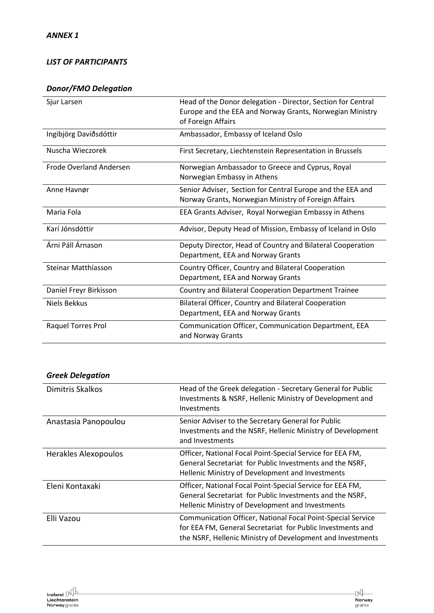#### *LIST OF PARTICIPANTS*

### *Donor/FMO Delegation*

| Sjur Larsen                    | Head of the Donor delegation - Director, Section for Central<br>Europe and the EEA and Norway Grants, Norwegian Ministry<br>of Foreign Affairs |
|--------------------------------|------------------------------------------------------------------------------------------------------------------------------------------------|
| Ingibjörg Davíðsdóttir         | Ambassador, Embassy of Iceland Oslo                                                                                                            |
| Nuscha Wieczorek               | First Secretary, Liechtenstein Representation in Brussels                                                                                      |
| <b>Frode Overland Andersen</b> | Norwegian Ambassador to Greece and Cyprus, Royal<br>Norwegian Embassy in Athens                                                                |
| Anne Havnør                    | Senior Adviser, Section for Central Europe and the EEA and<br>Norway Grants, Norwegian Ministry of Foreign Affairs                             |
| Maria Fola                     | EEA Grants Adviser, Royal Norwegian Embassy in Athens                                                                                          |
| Karí Jónsdóttir                | Advisor, Deputy Head of Mission, Embassy of Iceland in Oslo                                                                                    |
| Árni Páll Árnason              | Deputy Director, Head of Country and Bilateral Cooperation<br>Department, EEA and Norway Grants                                                |
| Steinar Matthíasson            | Country Officer, Country and Bilateral Cooperation<br>Department, EEA and Norway Grants                                                        |
| Daníel Freyr Birkisson         | Country and Bilateral Cooperation Department Trainee                                                                                           |
| <b>Niels Bekkus</b>            | Bilateral Officer, Country and Bilateral Cooperation<br>Department, EEA and Norway Grants                                                      |
| Raquel Torres Prol             | Communication Officer, Communication Department, EEA<br>and Norway Grants                                                                      |

### *Greek Delegation*

| Dimitris Skalkos            | Head of the Greek delegation - Secretary General for Public<br>Investments & NSRF, Hellenic Ministry of Development and<br>Investments                                                         |
|-----------------------------|------------------------------------------------------------------------------------------------------------------------------------------------------------------------------------------------|
| Anastasia Panopoulou        | Senior Adviser to the Secretary General for Public<br>Investments and the NSRF, Hellenic Ministry of Development<br>and Investments                                                            |
| <b>Herakles Alexopoulos</b> | Officer, National Focal Point-Special Service for EEA FM,<br>General Secretariat for Public Investments and the NSRF,<br>Hellenic Ministry of Development and Investments                      |
| Eleni Kontaxaki             | Officer, National Focal Point-Special Service for EEA FM,<br>General Secretariat for Public Investments and the NSRF,<br>Hellenic Ministry of Development and Investments                      |
| Elli Vazou                  | <b>Communication Officer, National Focal Point-Special Service</b><br>for EEA FM, General Secretariat for Public Investments and<br>the NSRF, Hellenic Ministry of Development and Investments |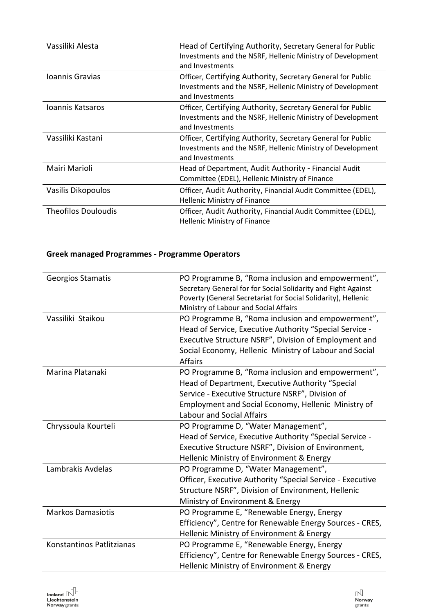| Vassiliki Alesta           | Head of Certifying Authority, Secretary General for Public<br>Investments and the NSRF, Hellenic Ministry of Development<br>and Investments  |
|----------------------------|----------------------------------------------------------------------------------------------------------------------------------------------|
| Ioannis Gravias            | Officer, Certifying Authority, Secretary General for Public<br>Investments and the NSRF, Hellenic Ministry of Development<br>and Investments |
| Joannis Katsaros           | Officer, Certifying Authority, Secretary General for Public<br>Investments and the NSRF, Hellenic Ministry of Development<br>and Investments |
| Vassiliki Kastani          | Officer, Certifying Authority, Secretary General for Public<br>Investments and the NSRF, Hellenic Ministry of Development<br>and Investments |
| Mairi Marioli              | Head of Department, Audit Authority - Financial Audit<br>Committee (EDEL), Hellenic Ministry of Finance                                      |
| Vasilis Dikopoulos         | Officer, Audit Authority, Financial Audit Committee (EDEL),<br><b>Hellenic Ministry of Finance</b>                                           |
| <b>Theofilos Douloudis</b> | Officer, Audit Authority, Financial Audit Committee (EDEL),<br><b>Hellenic Ministry of Finance</b>                                           |

# **Greek managed Programmes - Programme Operators**

| <b>Georgios Stamatis</b><br>Vassiliki Staikou | PO Programme B, "Roma inclusion and empowerment",<br>Secretary General for for Social Solidarity and Fight Against<br>Poverty (General Secretariat for Social Solidarity), Hellenic<br>Ministry of Labour and Social Affairs<br>PO Programme B, "Roma inclusion and empowerment", |
|-----------------------------------------------|-----------------------------------------------------------------------------------------------------------------------------------------------------------------------------------------------------------------------------------------------------------------------------------|
|                                               | Head of Service, Executive Authority "Special Service -<br>Executive Structure NSRF", Division of Employment and<br>Social Economy, Hellenic Ministry of Labour and Social<br><b>Affairs</b>                                                                                      |
| Marina Platanaki                              | PO Programme B, "Roma inclusion and empowerment",<br>Head of Department, Executive Authority "Special<br>Service - Executive Structure NSRF", Division of<br>Employment and Social Economy, Hellenic Ministry of<br><b>Labour and Social Affairs</b>                              |
| Chryssoula Kourteli                           | PO Programme D, "Water Management",<br>Head of Service, Executive Authority "Special Service -<br>Executive Structure NSRF", Division of Environment,<br>Hellenic Ministry of Environment & Energy                                                                                |
| Lambrakis Avdelas                             | PO Programme D, "Water Management",<br>Officer, Executive Authority "Special Service - Executive<br>Structure NSRF", Division of Environment, Hellenic<br>Ministry of Environment & Energy                                                                                        |
| <b>Markos Damasiotis</b>                      | PO Programme E, "Renewable Energy, Energy<br>Efficiency", Centre for Renewable Energy Sources - CRES,<br>Hellenic Ministry of Environment & Energy                                                                                                                                |
| Konstantinos Patlitzianas                     | PO Programme E, "Renewable Energy, Energy<br>Efficiency", Centre for Renewable Energy Sources - CRES,<br>Hellenic Ministry of Environment & Energy                                                                                                                                |